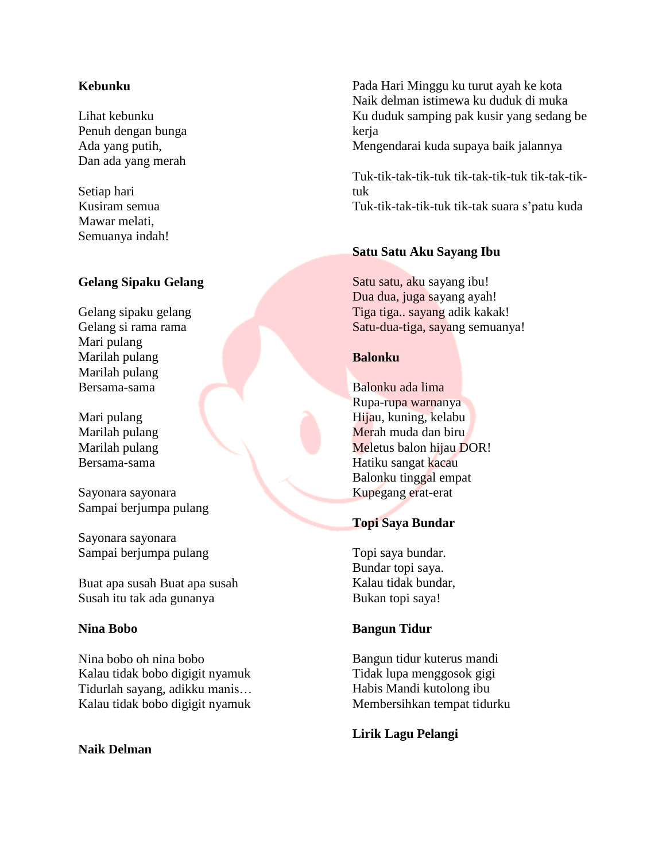# **Kebunku**

Lihat kebunku Penuh dengan bunga Ada yang putih, Dan ada yang merah

Setiap hari Kusiram semua Mawar melati, Semuanya indah!

# **Gelang Sipaku Gelang**

Gelang sipaku gelang Gelang si rama rama Mari pulang Marilah pulang Marilah pulang Bersama-sama

Mari pulang Marilah pulang Marilah pulang Bersama-sama

Sayonara sayonara Sampai berjumpa pulang

Sayonara sayonara Sampai berjumpa pulang

Buat apa susah Buat apa susah Susah itu tak ada gunanya

# **Nina Bobo**

Nina bobo oh nina bobo Kalau tidak bobo digigit nyamuk Tidurlah sayang, adikku manis… Kalau tidak bobo digigit nyamuk

# **Naik Delman**

Pada Hari Minggu ku turut ayah ke kota Naik delman istimewa ku duduk di muka Ku duduk samping pak kusir yang sedang be kerja

Mengendarai kuda supaya baik jalannya

Tuk-tik-tak-tik-tuk tik-tak-tik-tuk tik-tak-tiktuk

Tuk-tik-tak-tik-tuk tik-tak suara s'patu kuda

### **Satu Satu Aku Sayang Ibu**

Satu satu, aku sayang ibu! Dua dua, juga sayang ayah! Tiga tiga.. sayang adik kakak! Satu-dua-tiga, sayang semuanya!

## **Balonku**

Balonku ada lima Rupa-rupa warnanya Hijau, kuning, kelabu Merah muda dan biru Meletus balon hijau DOR! Hatiku sangat kacau Balonku tinggal empat Kupegang erat-erat

## **Topi Saya Bundar**

Topi saya bundar. Bundar topi saya. Kalau tidak bundar, Bukan topi saya!

## **Bangun Tidur**

Bangun tidur kuterus mandi Tidak lupa menggosok gigi Habis Mandi kutolong ibu Membersihkan tempat tidurku

# **Lirik Lagu Pelangi**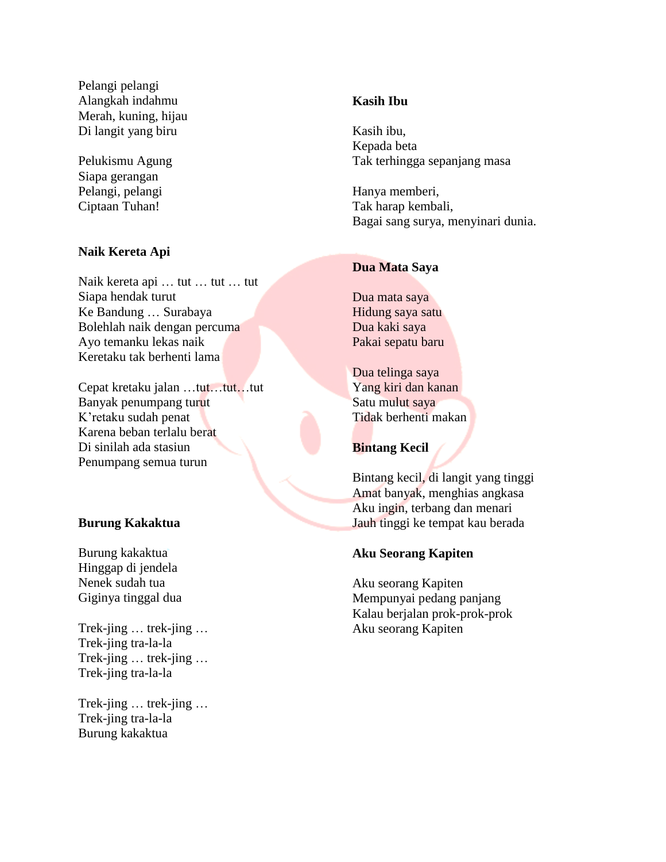Pelangi pelangi Alangkah indahmu Merah, kuning, hijau Di langit yang biru

Pelukismu Agung Siapa gerangan Pelangi, pelangi Ciptaan Tuhan!

# **Naik Kereta Api**

Naik kereta api … tut … tut … tut Siapa hendak turut Ke Bandung … Surabaya Bolehlah naik dengan percuma Ayo temanku lekas naik Keretaku tak berhenti lama

Cepat kretaku jalan …tut…tut…tut Banyak penumpang turut K'retaku sudah penat Karena beban terlalu berat Di sinilah ada stasiun Penumpang semua turun

# **Burung Kakaktua**

Burung kakaktua Hinggap di jendela Nenek sudah tua Giginya tinggal dua

Trek-jing … trek-jing … Trek-jing tra-la-la Trek-jing … trek-jing … Trek-jing tra-la-la

Trek-jing … trek-jing … Trek-jing tra-la-la Burung kakaktua

# **Kasih Ibu**

Kasih ibu, Kepada beta Tak terhingga sepanjang masa

Hanya memberi, Tak harap kembali, Bagai sang surya, menyinari dunia.

# **Dua Mata Saya**

Dua mata saya Hidung saya satu Dua kaki saya Pakai sepatu baru

Dua telinga saya Yang kiri dan kanan Satu mulut saya Tidak berhenti makan

# **Bintang Kecil**

Bintang kecil, di langit yang tinggi Amat banyak, menghias angkasa Aku ingin, terbang dan menari Jauh tinggi ke tempat kau berada

# **Aku Seorang Kapiten**

Aku seorang Kapiten Mempunyai pedang panjang Kalau berjalan prok-prok-prok Aku seorang Kapiten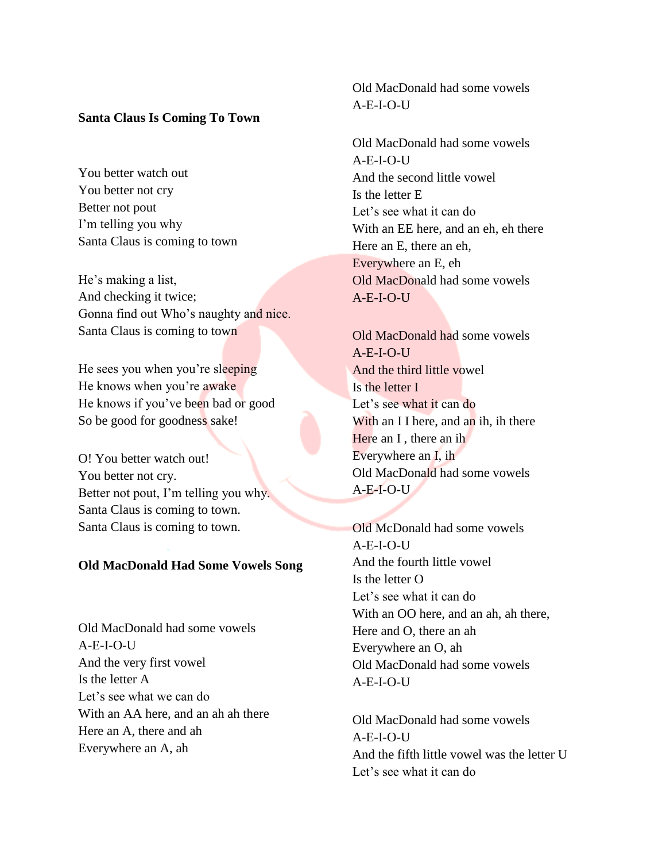#### **Santa Claus Is Coming To Town**

You better watch out You better not cry Better not pout I'm telling you why Santa Claus is coming to town

He's making a list, And checking it twice; Gonna find out Who's naughty and nice. Santa Claus is coming to town

He sees you when you're sleeping He knows when you're awake He knows if you've been bad or good So be good for goodness sake!

O! You better watch out! You better not cry. Better not pout, I'm telling you why. Santa Claus is coming to town. Santa Claus is coming to town.

### **Old MacDonald Had Some Vowels Song**

Old MacDonald had some vowels A-E-I-O-U And the very first vowel Is the letter A Let's see what we can do With an AA here, and an ah ah there Here an A, there and ah Everywhere an A, ah

Old MacDonald had some vowels  $A-E-I-O-I$ 

Old MacDonald had some vowels  $A-E-I-O-I$ And the second little vowel Is the letter E Let's see what it can do With an EE here, and an eh, eh there Here an E, there an eh, Everywhere an E, eh Old MacDonald had some vowels A-E-I-O-U

Old MacDonald had some vowels A-E-I-O-U And the third little vowel Is the letter I Let's see what it can do With an I I here, and an ih, ih there Here an I, there an ih Everywhere an I, ih Old MacDonald had some vowels  $A-F-I-O-II$ 

Old McDonald had some vowels  $A-E-I-O-II$ And the fourth little vowel Is the letter O Let's see what it can do With an OO here, and an ah, ah there, Here and O, there an ah Everywhere an O, ah Old MacDonald had some vowels  $A-E-I-O-I$ 

Old MacDonald had some vowels A-E-I-O-U And the fifth little vowel was the letter U Let's see what it can do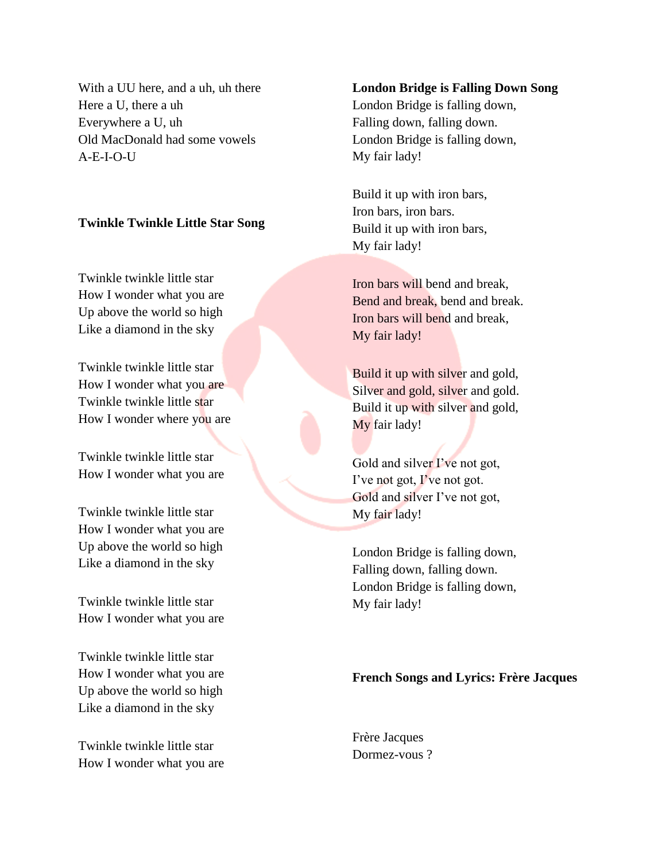With a UU here, and a uh, uh there Here a U, there a uh Everywhere a U, uh Old MacDonald had some vowels A-E-I-O-U

## **Twinkle Twinkle Little Star Song**

Twinkle twinkle little star How I wonder what you are Up above the world so high Like a diamond in the sky

Twinkle twinkle little star How I wonder what you are Twinkle twinkle little star How I wonder where you are

Twinkle twinkle little star How I wonder what you are

Twinkle twinkle little star How I wonder what you are Up above the world so high Like a diamond in the sky

Twinkle twinkle little star How I wonder what you are

Twinkle twinkle little star How I wonder what you are Up above the world so high Like a diamond in the sky

Twinkle twinkle little star How I wonder what you are

#### **London Bridge is Falling Down Song**

London Bridge is falling down, Falling down, falling down. London Bridge is falling down, My fair lady!

Build it up with iron bars, Iron bars, iron bars. Build it up with iron bars, My fair lady!

Iron bars will bend and break, Bend and break, bend and break. Iron bars will bend and break, My fair lady!

Build it up with silver and gold, Silver and gold, silver and gold. Build it up with silver and gold, My fair lady!

Gold and silver I've not got, I've not got, I've not got. Gold and silver I've not got, My fair lady!

London Bridge is falling down, Falling down, falling down. London Bridge is falling down, My fair lady!

### **French Songs and Lyrics: Frère Jacques**

Frère Jacques Dormez-vous ?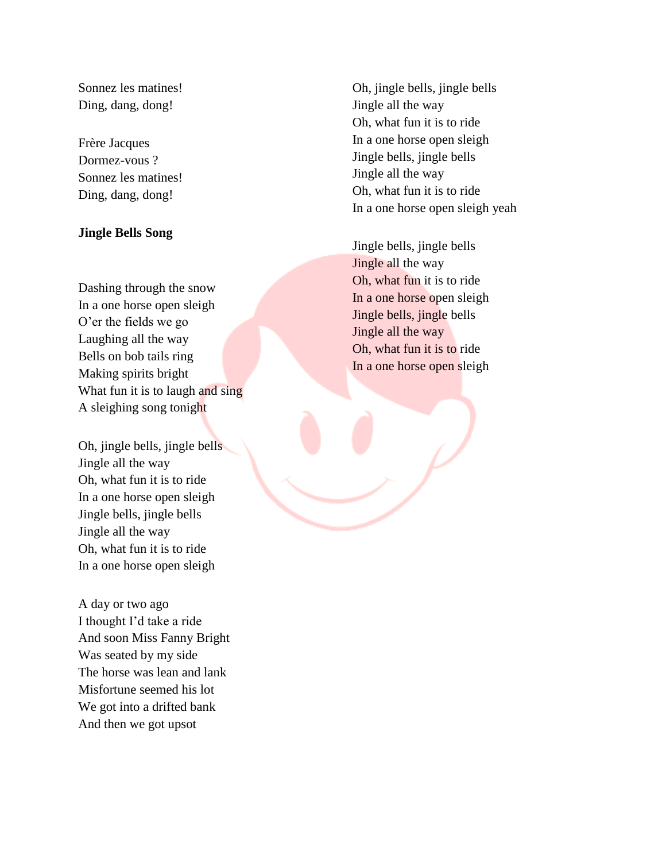Sonnez les matines! Ding, dang, dong!

Frère Jacques Dormez-vous ? Sonnez les matines! Ding, dang, dong!

## **Jingle Bells Song**

Dashing through the snow In a one horse open sleigh O'er the fields we go Laughing all the way Bells on bob tails ring Making spirits bright What fun it is to laugh and sing A sleighing song tonight

Oh, jingle bells, jingle bells Jingle all the way Oh, what fun it is to ride In a one horse open sleigh Jingle bells, jingle bells Jingle all the way Oh, what fun it is to ride In a one horse open sleigh

A day or two ago I thought I'd take a ride And soon Miss Fanny Bright Was seated by my side The horse was lean and lank Misfortune seemed his lot We got into a drifted bank And then we got upsot

Oh, jingle bells, jingle bells Jingle all the way Oh, what fun it is to ride In a one horse open sleigh Jingle bells, jingle bells Jingle all the way Oh, what fun it is to ride In a one horse open sleigh yeah

Jingle bells, jingle bells Jingle all the way Oh, what fun it is to ride In a one horse open sleigh Jingle bells, jingle bells Jingle all the way Oh, what fun it is to ride In a one horse open sleigh